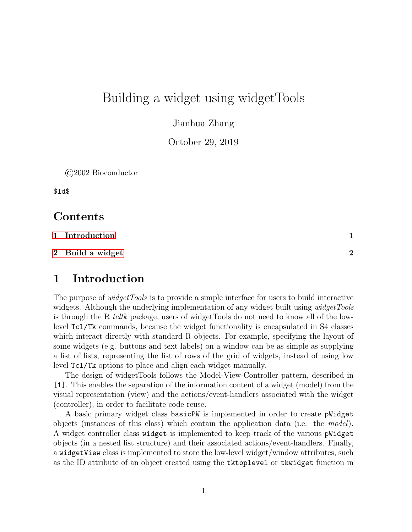# Building a widget using widgetTools

Jianhua Zhang

October 29, 2019

©2002 Bioconductor

\$Id\$

### Contents

- [1 Introduction](#page-0-0) 1
- $2$  Build a widget  $2$

#### <span id="page-0-0"></span>1 Introduction

The purpose of *widgetTools* is to provide a simple interface for users to build interactive widgets. Although the underlying implementation of any widget built using *widgetTools* is through the R tcltk package, users of widgetTools do not need to know all of the lowlevel Tcl/Tk commands, because the widget functionality is encapsulated in S4 classes which interact directly with standard R objects. For example, specifying the layout of some widgets (e.g. buttons and text labels) on a window can be as simple as supplying a list of lists, representing the list of rows of the grid of widgets, instead of using low level Tcl/Tk options to place and align each widget manually.

The design of widgetTools follows the Model-View-Controller pattern, described in [1]. This enables the separation of the information content of a widget (model) from the visual representation (view) and the actions/event-handlers associated with the widget (controller), in order to facilitate code reuse.

A basic primary widget class basicPW is implemented in order to create pWidget objects (instances of this class) which contain the application data (i.e. the model). A widget controller class widget is implemented to keep track of the various pWidget objects (in a nested list structure) and their associated actions/event-handlers. Finally, a widgetView class is implemented to store the low-level widget/window attributes, such as the ID attribute of an object created using the tktoplevel or tkwidget function in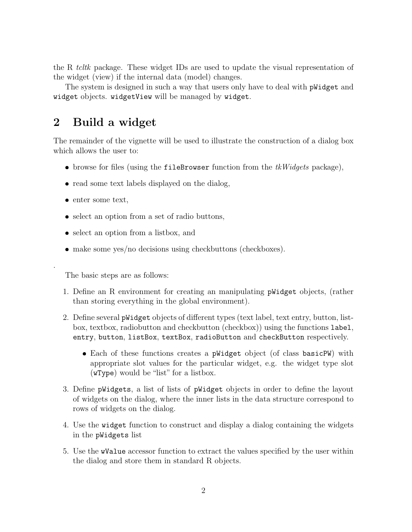the R tcltk package. These widget IDs are used to update the visual representation of the widget (view) if the internal data (model) changes.

The system is designed in such a way that users only have to deal with pWidget and widget objects. widgetView will be managed by widget.

## <span id="page-1-0"></span>2 Build a widget

The remainder of the vignette will be used to illustrate the construction of a dialog box which allows the user to:

- browse for files (using the fileBrowser function from the  $tkWidqets$  package),
- read some text labels displayed on the dialog,
- enter some text,

.

- select an option from a set of radio buttons,
- select an option from a listbox, and
- make some yes/no decisions using checkbuttons (checkboxes).

The basic steps are as follows:

- 1. Define an R environment for creating an manipulating pWidget objects, (rather than storing everything in the global environment).
- 2. Define several pWidget objects of different types (text label, text entry, button, listbox, textbox, radiobutton and checkbutton (checkbox)) using the functions label, entry, button, listBox, textBox, radioButton and checkButton respectively.
	- Each of these functions creates a pWidget object (of class basicPW) with appropriate slot values for the particular widget, e.g. the widget type slot (wType) would be "list" for a listbox.
- 3. Define pWidgets, a list of lists of pWidget objects in order to define the layout of widgets on the dialog, where the inner lists in the data structure correspond to rows of widgets on the dialog.
- 4. Use the widget function to construct and display a dialog containing the widgets in the pWidgets list
- 5. Use the wValue accessor function to extract the values specified by the user within the dialog and store them in standard R objects.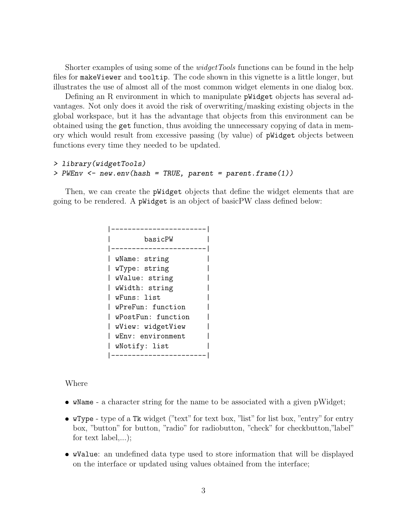Shorter examples of using some of the *widgetTools* functions can be found in the help files for makeViewer and tooltip. The code shown in this vignette is a little longer, but illustrates the use of almost all of the most common widget elements in one dialog box.

Defining an R environment in which to manipulate pWidget objects has several advantages. Not only does it avoid the risk of overwriting/masking existing objects in the global workspace, but it has the advantage that objects from this environment can be obtained using the get function, thus avoiding the unnecessary copying of data in memory which would result from excessive passing (by value) of pWidget objects between functions every time they needed to be updated.

```
> library(widgetTools)
> PWEnv <- new.new(hash = TRUE, parent = parent-frame(1))
```
Then, we can create the pWidget objects that define the widget elements that are going to be rendered. A pWidget is an object of basicPW class defined below:

```
|-----------------------|
       | basicPW |
|-----------------------|
| wName: string |
| wType: string |
| wValue: string |
| wWidth: string |
| wFuns: list |
| wPreFun: function |
| wPostFun: function |
| wView: widgetView |
| wEnv: environment |
| wNotify: list |
|-----------------------|
```
Where

- wName a character string for the name to be associated with a given pWidget;
- wType type of a Tk widget ("text" for text box, "list" for list box, "entry" for entry box, "button" for button, "radio" for radiobutton, "check" for checkbutton,"label" for text label,...);
- wValue: an undefined data type used to store information that will be displayed on the interface or updated using values obtained from the interface;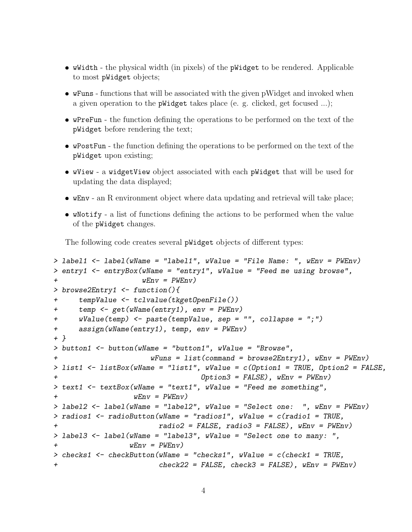- wWidth the physical width (in pixels) of the pWidget to be rendered. Applicable to most pWidget objects;
- wFuns functions that will be associated with the given pWidget and invoked when a given operation to the pWidget takes place (e. g. clicked, get focused ...);
- wPreFun the function defining the operations to be performed on the text of the pWidget before rendering the text;
- wPostFun the function defining the operations to be performed on the text of the pWidget upon existing;
- wView a widgetView object associated with each pWidget that will be used for updating the data displayed;
- wEnv an R environment object where data updating and retrieval will take place;
- wNotify a list of functions defining the actions to be performed when the value of the pWidget changes.

The following code creates several pWidget objects of different types:

```
> label1 \le label(wName = "label1", wValue = "File Name: ", wEnv = PWEnv)
> entry1 <- entryBox(wName = "entry1", wValue = "Feed me using browse",
                    wEnv = PWEnv> browse2Entry1 <- function(){
+ tempValue <- tclvalue(tkgetOpenFile())
+ temp <- get(wName(entry1), env = PWEnv)
+ wValue(temp) <- paste(tempValue, sep = "", collapse = ";")
+ assign(wName(entry1), temp, env = PWEnv)
+ }
> button1 <- button(wName = "button1", wValue = "Browse",
                      wFuns = list(command = browser2Entry1), wEnv = PWEnv)> list1 <- listBox(wName = "list1", wValue = c(Option1 = TRUE, Option2 = FALSE,
                                 Option3 = FALSE, wEnv = PWEnv)
> text1 <- textBox(wName = "text1", wValue = "Feed me something",
+ wEnv = PWEnv> label2 <- label(wName = "label2", wValue = "Select one: ", wEnv = PWEnv)
> radios1 \leq radioButton(wName = "radios1", wValue = c(radio1 = TRUE,
                       radio2 = FALSE, radio3 = FALSE), wEnv = PWEnv> label3 <- label(wName = "label3", wValue = "Select one to many: ",
                 wEnv = PWEnv> checks1 <- checkButton(wName = "checks1", wValue = c(check1 = TRUE,
+ check22 = FALSE, check3 = FALSE), wEnv = PWEnv)
```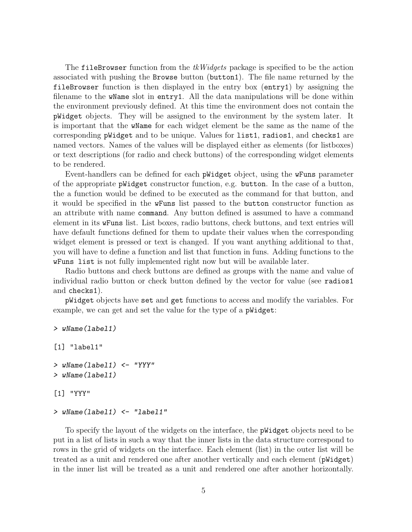The fileBrowser function from the  $tkWidgets$  package is specified to be the action associated with pushing the Browse button (button1). The file name returned by the fileBrowser function is then displayed in the entry box (entry1) by assigning the filename to the wName slot in entry1. All the data manipulations will be done within the environment previously defined. At this time the environment does not contain the pWidget objects. They will be assigned to the environment by the system later. It is important that the wName for each widget element be the same as the name of the corresponding pWidget and to be unique. Values for list1, radios1, and checks1 are named vectors. Names of the values will be displayed either as elements (for listboxes) or text descriptions (for radio and check buttons) of the corresponding widget elements to be rendered.

Event-handlers can be defined for each pWidget object, using the wFuns parameter of the appropriate pWidget constructor function, e.g. button. In the case of a button, the a function would be defined to be executed as the command for that button, and it would be specified in the wFuns list passed to the button constructor function as an attribute with name command. Any button defined is assumed to have a command element in its wFuns list. List boxes, radio buttons, check buttons, and text entries will have default functions defined for them to update their values when the corresponding widget element is pressed or text is changed. If you want anything additional to that, you will have to define a function and list that function in funs. Adding functions to the wFuns list is not fully implemented right now but will be available later.

Radio buttons and check buttons are defined as groups with the name and value of individual radio button or check button defined by the vector for value (see radios1 and checks1).

pWidget objects have set and get functions to access and modify the variables. For example, we can get and set the value for the type of a pWidget:

```
> wName(label1)
```

```
[1] "label1"
```

```
> wName(label1) <- "YYY"
> wName(label1)
```

```
[1] "YYY"
```
#### > wName(label1) <- "label1"

To specify the layout of the widgets on the interface, the pWidget objects need to be put in a list of lists in such a way that the inner lists in the data structure correspond to rows in the grid of widgets on the interface. Each element (list) in the outer list will be treated as a unit and rendered one after another vertically and each element (pWidget) in the inner list will be treated as a unit and rendered one after another horizontally.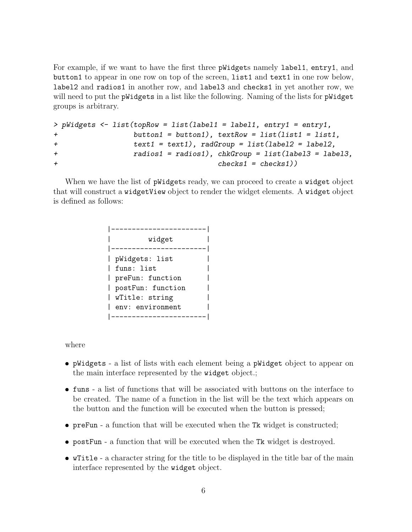For example, if we want to have the first three pWidgets namely label1, entry1, and button1 to appear in one row on top of the screen, list1 and text1 in one row below, label2 and radios1 in another row, and label3 and checks1 in yet another row, we will need to put the pWidgets in a list like the following. Naming of the lists for pWidget groups is arbitrary.

```
> pWidgets <- list(topRow = list(label1 = label1, entry1 = entry1,
              button1 = button1), textRow = list(list1 = list1,+ text1 = text1), radGroup = list(label2 = label2,
+ radios1 = radios1), chkGroup = list(label3 = label3,
+ checks1 = checks1))
```
When we have the list of **pWidgets** ready, we can proceed to create a **widget** object that will construct a widgetView object to render the widget elements. A widget object is defined as follows:

```
|-----------------------|
| widget |
|-----------------------|
| pWidgets: list |
| funs: list |
| preFun: function |
| postFun: function |
| wTitle: string |
| env: environment |
|-----------------------|
```
where

- pWidgets a list of lists with each element being a pWidget object to appear on the main interface represented by the widget object.;
- funs a list of functions that will be associated with buttons on the interface to be created. The name of a function in the list will be the text which appears on the button and the function will be executed when the button is pressed;
- preFun a function that will be executed when the Tk widget is constructed;
- postFun a function that will be executed when the Tk widget is destroyed.
- wTitle a character string for the title to be displayed in the title bar of the main interface represented by the widget object.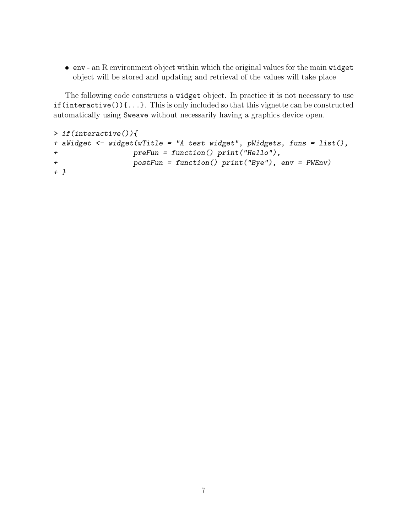env - an R environment object within which the original values for the main widget object will be stored and updating and retrieval of the values will take place

The following code constructs a widget object. In practice it is not necessary to use  $if(interactive())\{...\}$ . This is only included so that this vignette can be constructed automatically using Sweave without necessarily having a graphics device open.

```
> if(interactive()){
+ aWidget <- widget(wTitle = "A test widget", pWidgets, funs = list(),
+ preFun = function() print("Hello"),
+ postFun = function() print("Bye"), env = PWEnv)
+ }
```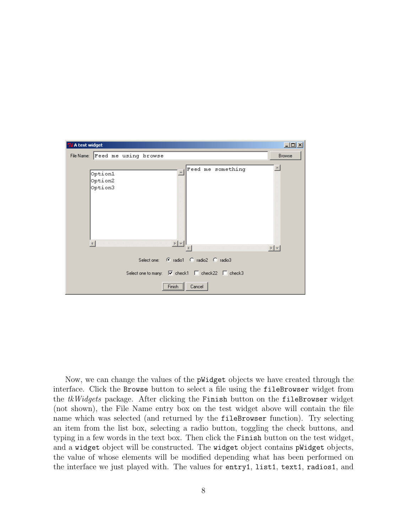

Now, we can change the values of the pWidget objects we have created through the interface. Click the Browse button to select a file using the fileBrowser widget from the tkWidgets package. After clicking the Finish button on the fileBrowser widget (not shown), the File Name entry box on the test widget above will contain the file name which was selected (and returned by the fileBrowser function). Try selecting an item from the list box, selecting a radio button, toggling the check buttons, and typing in a few words in the text box. Then click the Finish button on the test widget, and a widget object will be constructed. The widget object contains pWidget objects, the value of whose elements will be modified depending what has been performed on the interface we just played with. The values for entry1, list1, text1, radios1, and